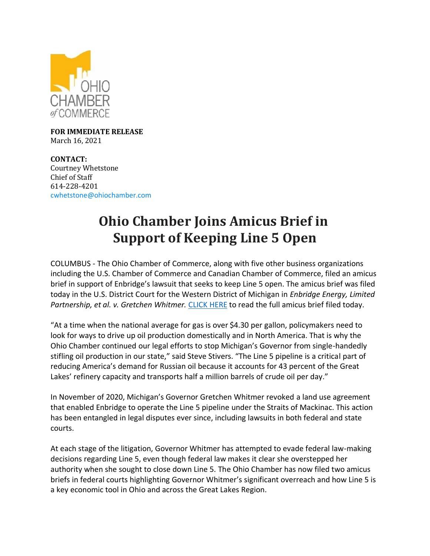

**FOR IMMEDIATE RELEASE** March 16, 2021

**CONTACT:** Courtney Whetstone Chief of Staff 614-228-4201 [cwhetstone@ohiochamber.com](mailto:cwhetstone@ohiochamber.com)

## **Ohio Chamber Joins Amicus Brief in Support of Keeping Line 5 Open**

COLUMBUS - The Ohio Chamber of Commerce, along with five other business organizations including the U.S. Chamber of Commerce and Canadian Chamber of Commerce, filed an amicus brief in support of Enbridge's lawsuit that seeks to keep Line 5 open. The amicus brief was filed today in the U.S. District Court for the Western District of Michigan in *Enbridge Energy, Limited Partnership, et al. v. Gretchen Whitmer.* [CLICK HERE](https://ohiochamber.com/wp-content/uploads/2022/03/3.16.22-Chambers-Amicus-Brief_11th-Amendment.pdf) to read the full amicus brief filed today.

"At a time when the national average for gas is over \$4.30 per gallon, policymakers need to look for ways to drive up oil production domestically and in North America. That is why the Ohio Chamber continued our legal efforts to stop Michigan's Governor from single-handedly stifling oil production in our state," said Steve Stivers. "The Line 5 pipeline is a critical part of reducing America's demand for Russian oil because it accounts for 43 percent of the Great Lakes' refinery capacity and transports half a million barrels of crude oil per day."

In November of 2020, Michigan's Governor Gretchen Whitmer revoked a land use agreement that enabled Enbridge to operate the Line 5 pipeline under the Straits of Mackinac. This action has been entangled in legal disputes ever since, including lawsuits in both federal and state courts.

At each stage of the litigation, Governor Whitmer has attempted to evade federal law-making decisions regarding Line 5, even though federal law makes it clear she overstepped her authority when she sought to close down Line 5. The Ohio Chamber has now filed two amicus briefs in federal courts highlighting Governor Whitmer's significant overreach and how Line 5 is a key economic tool in Ohio and across the Great Lakes Region.